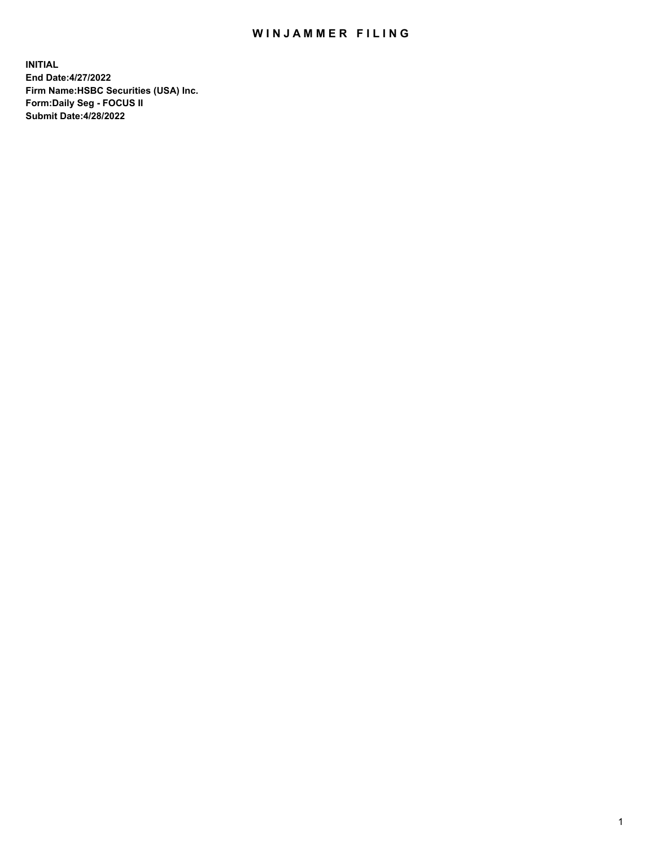## WIN JAMMER FILING

**INITIAL End Date:4/27/2022 Firm Name:HSBC Securities (USA) Inc. Form:Daily Seg - FOCUS II Submit Date:4/28/2022**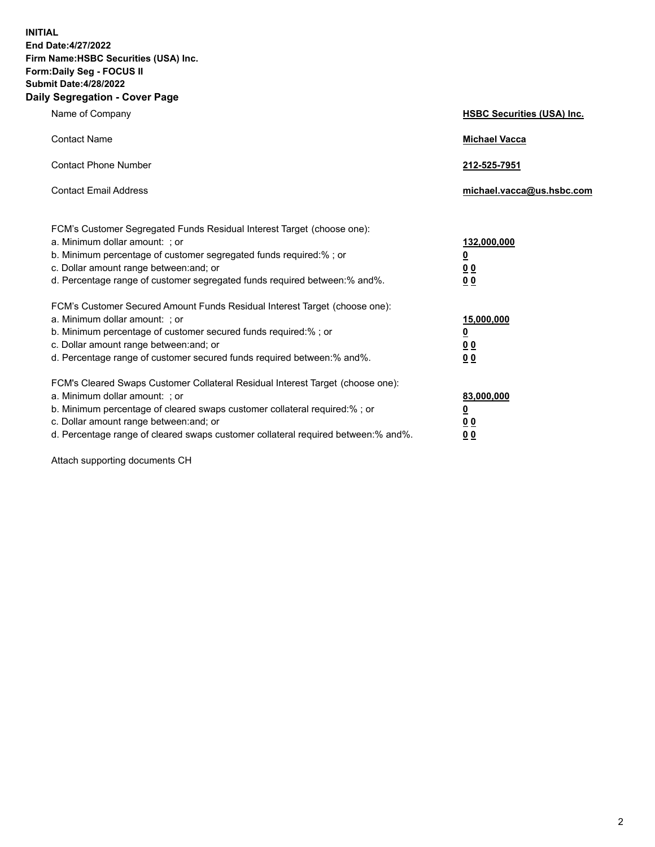**INITIAL End Date:4/27/2022 Firm Name:HSBC Securities (USA) Inc. Form:Daily Seg - FOCUS II Submit Date:4/28/2022 Daily Segregation - Cover Page**

| Name of Company                                                                                                                                                                                                                                                                                                                | <b>HSBC Securities (USA) Inc.</b>                          |
|--------------------------------------------------------------------------------------------------------------------------------------------------------------------------------------------------------------------------------------------------------------------------------------------------------------------------------|------------------------------------------------------------|
| <b>Contact Name</b>                                                                                                                                                                                                                                                                                                            | <b>Michael Vacca</b>                                       |
| <b>Contact Phone Number</b>                                                                                                                                                                                                                                                                                                    | 212-525-7951                                               |
| <b>Contact Email Address</b>                                                                                                                                                                                                                                                                                                   | michael.vacca@us.hsbc.com                                  |
| FCM's Customer Segregated Funds Residual Interest Target (choose one):<br>a. Minimum dollar amount: ; or<br>b. Minimum percentage of customer segregated funds required:%; or<br>c. Dollar amount range between: and; or<br>d. Percentage range of customer segregated funds required between: % and %.                        | 132,000,000<br><u>0</u><br>00<br>0 <sub>0</sub>            |
| FCM's Customer Secured Amount Funds Residual Interest Target (choose one):<br>a. Minimum dollar amount: ; or<br>b. Minimum percentage of customer secured funds required:%; or<br>c. Dollar amount range between: and; or<br>d. Percentage range of customer secured funds required between: % and %.                          | 15,000,000<br><u>0</u><br>0 <sub>0</sub><br>0 <sub>0</sub> |
| FCM's Cleared Swaps Customer Collateral Residual Interest Target (choose one):<br>a. Minimum dollar amount: ; or<br>b. Minimum percentage of cleared swaps customer collateral required:% ; or<br>c. Dollar amount range between: and; or<br>d. Percentage range of cleared swaps customer collateral required between:% and%. | 83,000,000<br><u>0</u><br><u>00</u><br>00                  |

Attach supporting documents CH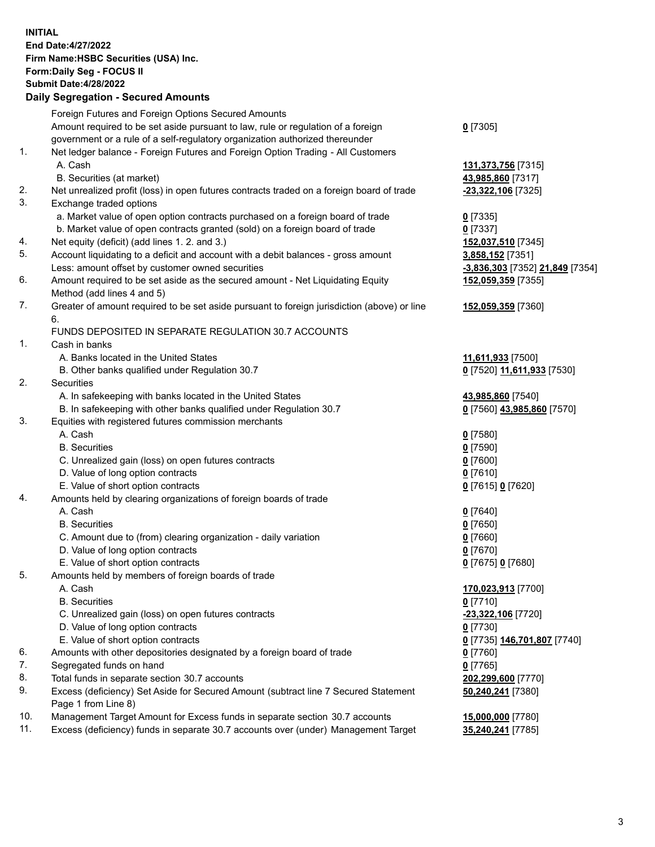**INITIAL End Date:4/27/2022 Firm Name:HSBC Securities (USA) Inc. Form:Daily Seg - FOCUS II Submit Date:4/28/2022 Daily Segregation - Secured Amounts** Foreign Futures and Foreign Options Secured Amounts Amount required to be set aside pursuant to law, rule or regulation of a foreign government or a rule of a self-regulatory organization authorized thereunder **0** [7305] 1. Net ledger balance - Foreign Futures and Foreign Option Trading - All Customers A. Cash **131,373,756** [7315] B. Securities (at market) **43,985,860** [7317] 2. Net unrealized profit (loss) in open futures contracts traded on a foreign board of trade **-23,322,106** [7325] 3. Exchange traded options a. Market value of open option contracts purchased on a foreign board of trade **0** [7335] b. Market value of open contracts granted (sold) on a foreign board of trade **0** [7337] 4. Net equity (deficit) (add lines 1. 2. and 3.) **152,037,510** [7345] 5. Account liquidating to a deficit and account with a debit balances - gross amount **3,858,152** [7351] Less: amount offset by customer owned securities **-3,836,303** [7352] **21,849** [7354] 6. Amount required to be set aside as the secured amount - Net Liquidating Equity Method (add lines 4 and 5) **152,059,359** [7355] 7. Greater of amount required to be set aside pursuant to foreign jurisdiction (above) or line 6. **152,059,359** [7360] FUNDS DEPOSITED IN SEPARATE REGULATION 30.7 ACCOUNTS 1. Cash in banks A. Banks located in the United States **11,611,933** [7500] B. Other banks qualified under Regulation 30.7 **0** [7520] **11,611,933** [7530] 2. Securities A. In safekeeping with banks located in the United States **43,985,860** [7540] B. In safekeeping with other banks qualified under Regulation 30.7 **0** [7560] **43,985,860** [7570] 3. Equities with registered futures commission merchants A. Cash **0** [7580] B. Securities **0** [7590] C. Unrealized gain (loss) on open futures contracts **0** [7600] D. Value of long option contracts **0** [7610] E. Value of short option contracts **0** [7615] **0** [7620] 4. Amounts held by clearing organizations of foreign boards of trade A. Cash **0** [7640] B. Securities **0** [7650] C. Amount due to (from) clearing organization - daily variation **0** [7660] D. Value of long option contracts **0** [7670] E. Value of short option contracts **0** [7675] **0** [7680] 5. Amounts held by members of foreign boards of trade A. Cash **170,023,913** [7700] B. Securities **0** [7710] C. Unrealized gain (loss) on open futures contracts **-23,322,106** [7720] D. Value of long option contracts **0** [7730] E. Value of short option contracts **0** [7735] **146,701,807** [7740] 6. Amounts with other depositories designated by a foreign board of trade **0** [7760] 7. Segregated funds on hand **0** [7765] 8. Total funds in separate section 30.7 accounts **202,299,600** [7770] 9. Excess (deficiency) Set Aside for Secured Amount (subtract line 7 Secured Statement Page 1 from Line 8) **50,240,241** [7380] 10. Management Target Amount for Excess funds in separate section 30.7 accounts **15,000,000** [7780]

11. Excess (deficiency) funds in separate 30.7 accounts over (under) Management Target **35,240,241** [7785]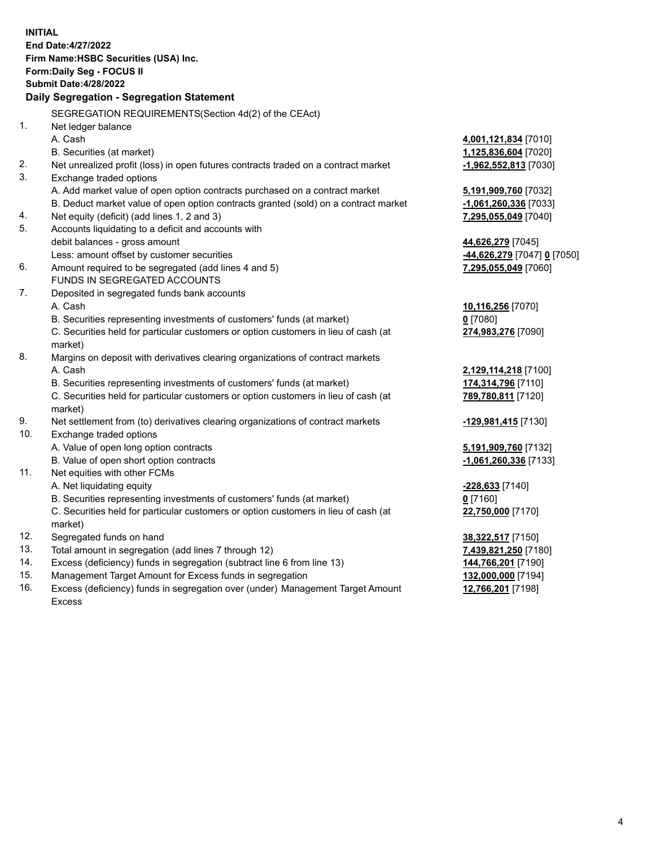|     | <b>INITIAL</b>                                                                                                                      |                                           |
|-----|-------------------------------------------------------------------------------------------------------------------------------------|-------------------------------------------|
|     | End Date: 4/27/2022                                                                                                                 |                                           |
|     | Firm Name: HSBC Securities (USA) Inc.                                                                                               |                                           |
|     | Form: Daily Seg - FOCUS II                                                                                                          |                                           |
|     | <b>Submit Date: 4/28/2022</b>                                                                                                       |                                           |
|     | Daily Segregation - Segregation Statement                                                                                           |                                           |
|     | SEGREGATION REQUIREMENTS(Section 4d(2) of the CEAct)                                                                                |                                           |
| 1.  | Net ledger balance                                                                                                                  |                                           |
|     | A. Cash                                                                                                                             | 4,001,121,834 [7010]                      |
|     | B. Securities (at market)                                                                                                           | 1,125,836,604 [7020]                      |
| 2.  | Net unrealized profit (loss) in open futures contracts traded on a contract market                                                  | $-1,962,552,813$ [7030]                   |
| 3.  | Exchange traded options                                                                                                             |                                           |
|     | A. Add market value of open option contracts purchased on a contract market                                                         | 5,191,909,760 [7032]                      |
|     | B. Deduct market value of open option contracts granted (sold) on a contract market                                                 | $-1,061,260,336$ [7033]                   |
| 4.  | Net equity (deficit) (add lines 1, 2 and 3)                                                                                         | 7,295,055,049 [7040]                      |
| 5.  | Accounts liquidating to a deficit and accounts with                                                                                 |                                           |
|     | debit balances - gross amount                                                                                                       | 44,626,279 [7045]                         |
|     | Less: amount offset by customer securities                                                                                          | <u>-44,626,279</u> [7047] <u>0</u> [7050] |
| 6.  | Amount required to be segregated (add lines 4 and 5)                                                                                | 7,295,055,049 [7060]                      |
|     | FUNDS IN SEGREGATED ACCOUNTS                                                                                                        |                                           |
| 7.  | Deposited in segregated funds bank accounts                                                                                         |                                           |
|     | A. Cash                                                                                                                             | 10,116,256 [7070]                         |
|     | B. Securities representing investments of customers' funds (at market)                                                              | $0$ [7080]                                |
|     | C. Securities held for particular customers or option customers in lieu of cash (at                                                 | 274,983,276 [7090]                        |
|     | market)                                                                                                                             |                                           |
| 8.  | Margins on deposit with derivatives clearing organizations of contract markets                                                      |                                           |
|     | A. Cash                                                                                                                             | 2,129,114,218 [7100]                      |
|     | B. Securities representing investments of customers' funds (at market)                                                              | 174,314,796 [7110]                        |
|     | C. Securities held for particular customers or option customers in lieu of cash (at                                                 | 789,780,811 [7120]                        |
|     | market)                                                                                                                             |                                           |
| 9.  | Net settlement from (to) derivatives clearing organizations of contract markets                                                     | -129,981,415 [7130]                       |
| 10. | Exchange traded options                                                                                                             |                                           |
|     | A. Value of open long option contracts                                                                                              | 5,191,909,760 [7132]                      |
|     | B. Value of open short option contracts                                                                                             | $-1,061,260,336$ [7133]                   |
| 11. | Net equities with other FCMs                                                                                                        |                                           |
|     | A. Net liquidating equity                                                                                                           | -228,633 [7140]                           |
|     | B. Securities representing investments of customers' funds (at market)                                                              | $0$ [7160]                                |
|     | C. Securities held for particular customers or option customers in lieu of cash (at                                                 | 22,750,000 [7170]                         |
|     | market)                                                                                                                             |                                           |
| 12. | Segregated funds on hand                                                                                                            | 38,322,517 [7150]                         |
| 13. | Total amount in segregation (add lines 7 through 12)                                                                                | 7,439,821,250 [7180]                      |
| 14. | Excess (deficiency) funds in segregation (subtract line 6 from line 13)                                                             | 144,766,201 [7190]                        |
| 15. | Management Target Amount for Excess funds in segregation                                                                            | 132,000,000 [7194]                        |
| 4C  | $\mathbf{L}$ , and $\mathbf{L}$ , and $\mathbf{L}$ are the second second second and $\mathbf{L}$ and $\mathbf{L}$ are second second | $\overline{A}$                            |

16. Excess (deficiency) funds in segregation over (under) Management Target Amount Excess

**12,766,201** [7198]